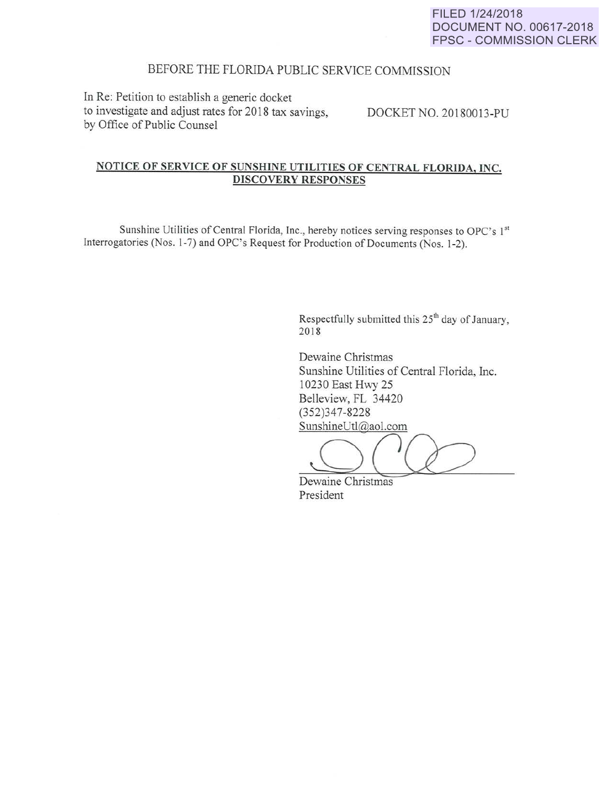## BEFORE THE FLORIDA PUBLIC SERVICE COMMISSION

In Re: Petition to establish a generic docket to investigate and adjust rates for 2018 tax savings, by Office of Public Counsel

DOCKET NO. 20180013-PU

## NOTICE OF SERVICE OF SUNSHINE UTILITIES OF CENTRAL FLORIDA, INC. DISCOVERY RESPONSES

Sunshine Utilities of Central Florida, Inc., hereby notices serving responses to OPC's 1st Interrogatories (Nos. 1-7) and OPC's Request for Production of Documents (Nos. 1-2).

> Respectfully submitted this 25<sup>th</sup> day of January, 2018

Dewaine Christmas Sunshine Utilities of Central Florida, Inc. 10230 East Hwy 25 Belleview, FL 34420 (352)347-8228 SunshineUtl@aol.com

 $O(Q)$ 

Dewaine Christmas President